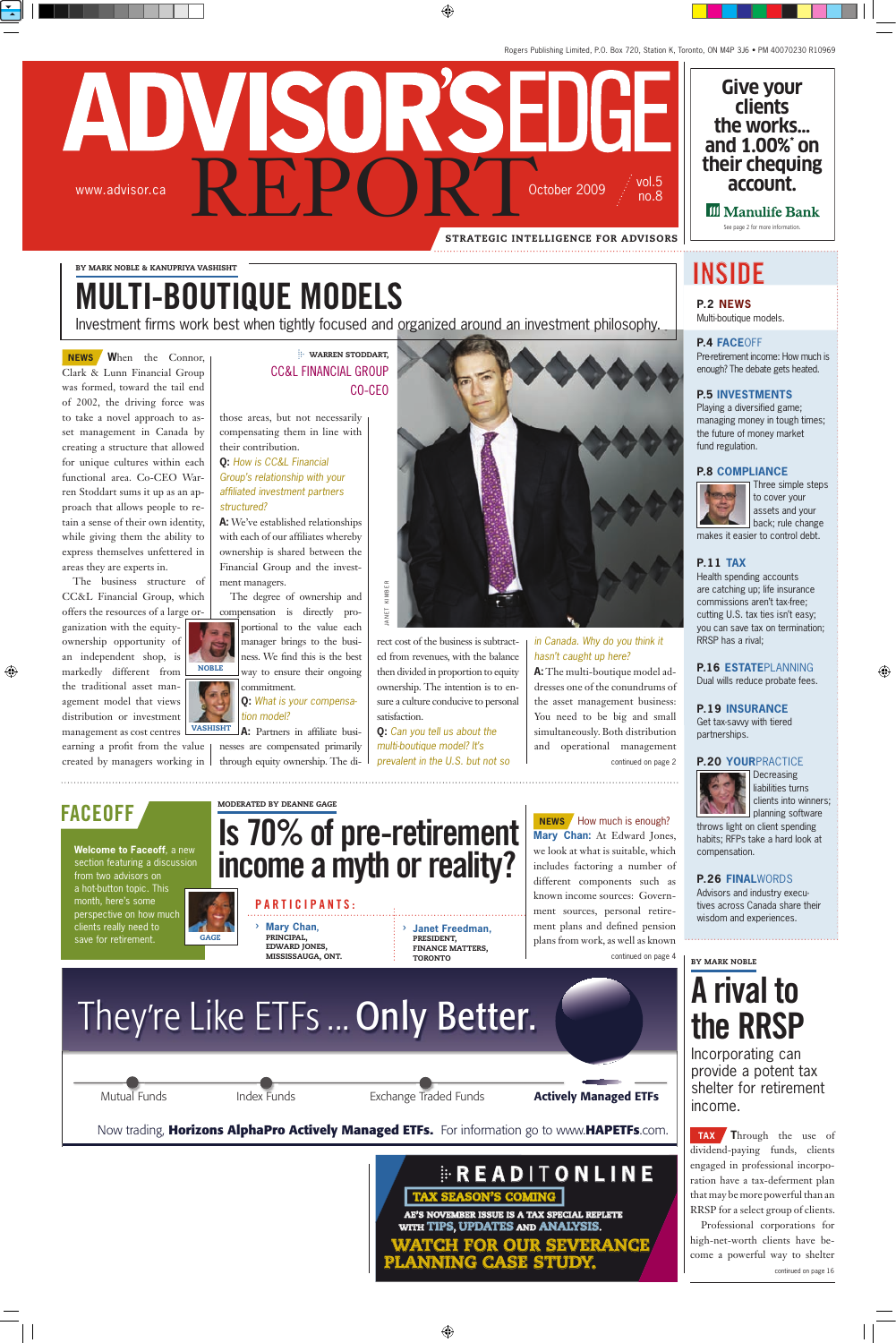# ADVISORSEDGE RE PORT October 2009 vol.5 www.advisor.ca no.8 strategic intelligence for advisors

by mark noble & kanupriya vashisht

# multi-boutique models

nvestment firms work best when tightly focused and organized around an investment philosophy.

a n e t k i m b e r

ANET KIMBER

**NEWS** When the Connor, Clark & Lunn Financial Group was formed, toward the tail end of 2002, the driving force was to take a novel approach to asset management in Canada by creating a structure that allowed for unique cultures within each functional area. Co-CEO Warren Stoddart sums it up as an approach that allows people to retain a sense of their own identity, while giving them the ability to express themselves unfettered in areas they are experts in.

The business structure of CC&L Financial Group, which offers the resources of a large or-

ganization with the equityownership opportunity of an independent shop, is markedly different from the traditional asset management model that views distribution or investment management as cost centres

earning a profit from the value created by managers working in

### warren stoddart, CC&L FINANCIAL GROUP co-ceo

those areas, but not necessarily compensating them in line with their contribution.

**Q:** *How is CC&L Financial Group's relationship with your affiliated investment partners structured?*

**:** We've established relationships with each of our affiliates whereby ownership is shared between the Financial Group and the investment managers.

The degree of ownership and compensation is directly proportional to the value each manager brings to the business. We find this is the best way to ensure their ongoing commitment.

#### **Q:** *What is your compensation model?*

**:** Partners in affiliate businesses are compensated primarily through equity ownership. The di-**VASHISHT** 



rect cost of the business is subtracted from revenues, with the balance then divided in proportion to equity ownership. The intention is to ensure a culture conducive to personal satisfaction.

**Q:** *Can you tell us about the multi-boutique model? It's prevalent in the U.S. but not so*

#### *in Canada. Why do you think it hasn't caught up here?*

**A:** The multi-boutique model addresses one of the conundrums of the asset management business: You need to be big and small simultaneously. Both distribution and operational management

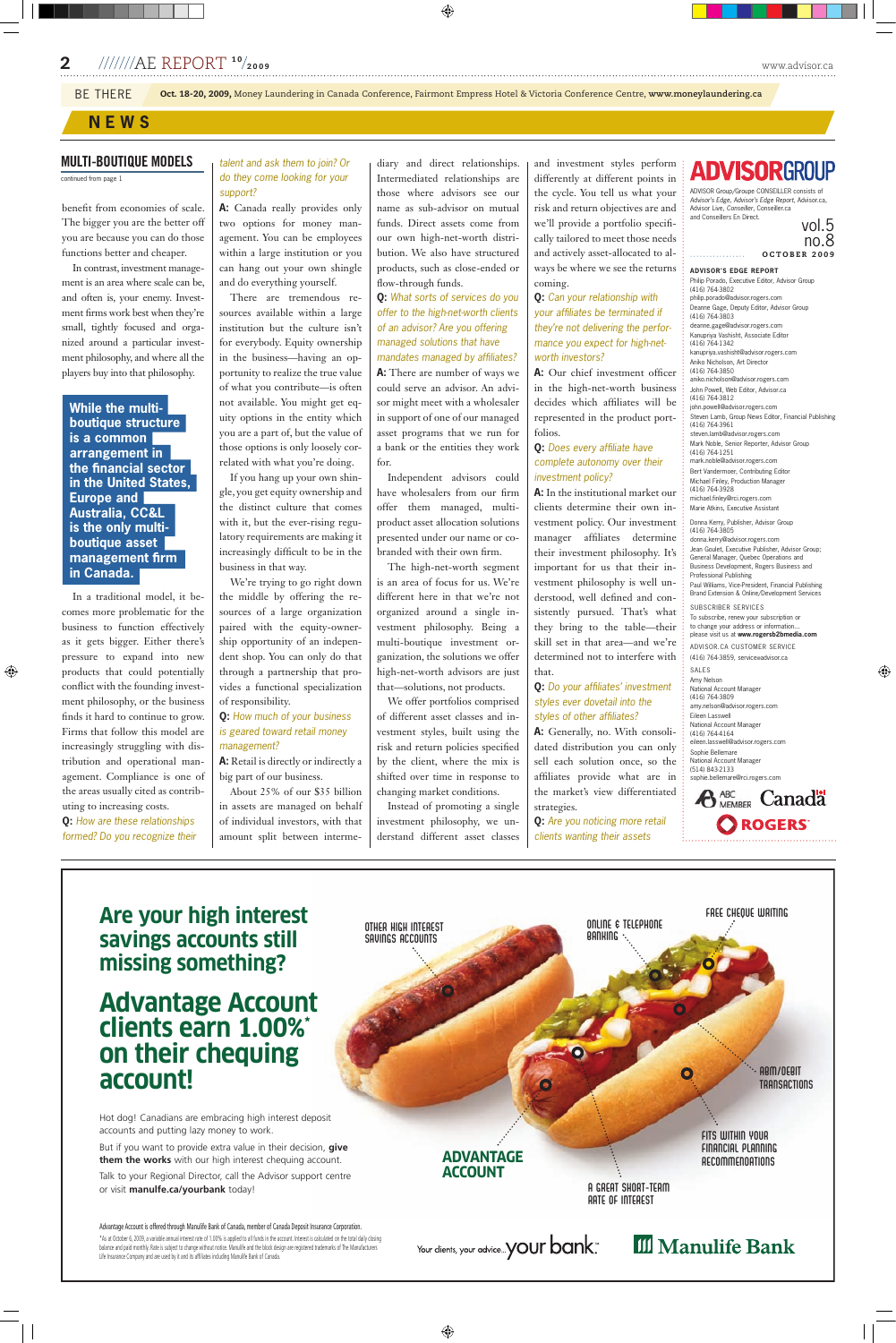## MULTI-BOUTIQUE MODELS

continued from page 1

benefit from economies of scale. The bigger you are the better off you are because you can do those functions better and cheaper.

In contrast, investment management is an area where scale can be, and often is, your enemy. Investment firms work best when they're small, tightly focused and organized around a particular investment philosophy, and where all the players buy into that philosophy.

**hile the multiboutique structure is a common arrangement in the financial sector in the United States, Europe and Australia, CC&L is the only multiboutique asset management firm in Canada.**

In a traditional model, it becomes more problematic for the business to function effectively as it gets bigger. Either there's pressure to expand into new products that could potentially conflict with the founding investment philosophy, or the business finds it hard to continue to grow. Firms that follow this model are increasingly struggling with distribution and operational management. Compliance is one of the areas usually cited as contributing to increasing costs.

**Q:** *How are these relationships formed? Do you recognize their* | amount split bet

#### *talent and ask them to join? Or do they come looking for your support?*

**A:** Canada really provides only two options for money management. You can be employees within a large institution or you can hang out your own shingle and do everything yourself.

There are tremendous resources available within a large institution but the culture isn't for everybody. Equity ownership in the business—having an opportunity to realize the true value of what you contribute—is often not available. You might get equity options in the entity which you are a part of, but the value of those options is only loosely correlated with what you're doing.

If you hang up your own shingle, you get equity ownership and the distinct culture that comes with it, but the ever-rising regulatory requirements are making it increasingly difficult to be in the business in that way.

We're trying to go right down the middle by offering the resources of a large organization paired with the equity-ownership opportunity of an independent shop. You can only do that through a partnership that provides a functional specialization of responsibility.

#### **Q:** *How much of your business is geared toward retail money management?*

**A:** Retail is directly or indirectly a big part of our business.

About 25% of our \$35 billion in assets are managed on behalf of individual investors, with that amount split between intermediary and direct relationships. Intermediated relationships are those where advisors see our name as sub-advisor on mutual funds. Direct assets come from our own high-net-worth distribution. We also have structured products, such as close-ended or flow-through funds.

#### **Q:** *What sorts of services do you offer to the high-net-worth clients of an advisor? Are you offering managed solutions that have mandates managed by affiliates?*

**A:** There are number of ways we could serve an advisor. An advisor might meet with a wholesaler in support of one of our managed asset programs that we run for a bank or the entities they work for.

Independent advisors could have wholesalers from our firm offer them managed, multiproduct asset allocation solutions presented under our name or cobranded with their own firm.

The high-net-worth segment is an area of focus for us. We're different here in that we're not organized around a single investment philosophy. Being a multi-boutique investment organization, the solutions we offer high-net-worth advisors are just that—solutions, not products.

We offer portfolios comprised of different asset classes and investment styles, built using the risk and return policies specified by the client, where the mix is shifted over time in response to changing market conditions.

Instead of promoting a single investment philosophy, we understand different asset classes and investment styles perform differently at different points in the cycle. You tell us what your risk and return objectives are and we'll provide a portfolio specifically tailored to meet those needs and actively asset-allocated to always be where we see the returns coming.

#### **Q:** *Can your relationship with your affiliates be terminated if they're not delivering the performance you expect for high-networth investors?*

**A:** Our chief investment officer in the high-net-worth business decides which affiliates will be represented in the product portfolios.

#### **Q:** *Does every affiliate have complete autonomy over their investment policy?*

**A:** In the institutional market our clients determine their own investment policy. Our investment manager affiliates determine their investment philosophy. It's important for us that their investment philosophy is well understood, well defined and consistently pursued. That's what they bring to the table—their skill set in that area—and we're determined not to interfere with that.

#### **Q:** *Do your affiliates' investment styles ever dovetail into the styles of other affiliates?*

**A:** Generally, no. With consolidated distribution you can only sell each solution once, so the affiliates provide what are in the market's view differentiated strategies.

**Q:** *Are you noticing more retail clients wanting their assets*